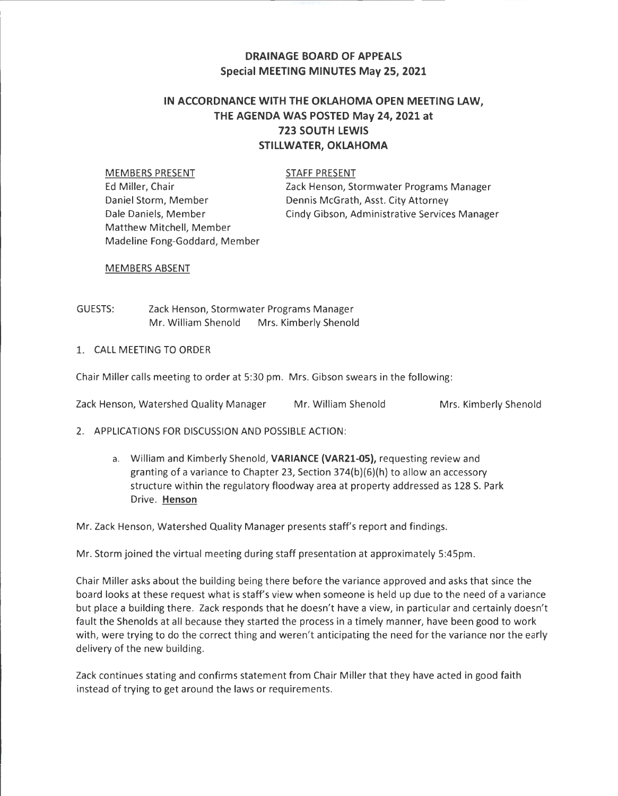## **DRAINAGE BOARD OF APPEALS Special MEETING MINUTES May 25, 2021**

# **IN ACCORDNANCE WITH THE OKLAHOMA OPEN MEETING LAW, THE AGENDA WAS POSTED May 24, 2021 at 723 SOUTH LEWIS STILLWATER, OKLAHOMA**

MEMBERS PRESENT STAFF PRESENT Ed Miller, Chair Daniel Storm, Member Dale Daniels, Member Cindy Gibson, Administrative Services Manager Matthew Mitchell, Member Madeline Fong-Goddard, Member

Zack Henson, Stormwater Programs Manager Dennis McGrath, Asst. City Attorney

MEMBERS ABSENT

GUESTS: Zack Henson, Stormwater Programs Manager Mr. William Shenold Mrs. Kimberly Shenold

### 1. CALL MEETING TO ORDER

Chair Miller calls meeting to order at 5:30 pm. Mrs. Gibson swears in the following:

|  |  | Zack Henson, Watershed Quality Manager | Mr. William Shenold | Mrs. Kimberly Shenold |
|--|--|----------------------------------------|---------------------|-----------------------|
|--|--|----------------------------------------|---------------------|-----------------------|

- 2. APPLICATIONS FOR DISCUSSION AND POSSIBLE ACTION:
	- a. William and Kimberly Shenold, **VARIANCE (VAR21-05),** requesting review and granting of a variance to Chapter 23, Section 374(b)(6)(h) to allow an accessory structure within the regulatory floodway area at property addressed as 128 S. Park Drive. **Henson**

Mr. Zack Henson, Watershed Quality Manager presents staff's report and findings.

Mr. Storm joined the virtual meeting during staff presentation at approximately 5:45pm.

Chair Miller asks about the building being there before the variance approved and asks that since the board looks at these request what is staff's view when someone is held up due to the need of a variance but place a building there. Zack responds that he doesn't have a view, in particular and certainly doesn't fault the Shenolds at all because they started the process in a timely manner, have been good to work with, were trying to do the correct thing and weren't anticipating the need for the variance nor the early delivery of the new building.

Zack continues stating and confirms statement from Chair Miller that they have acted in good faith instead of trying to get around the laws or requirements.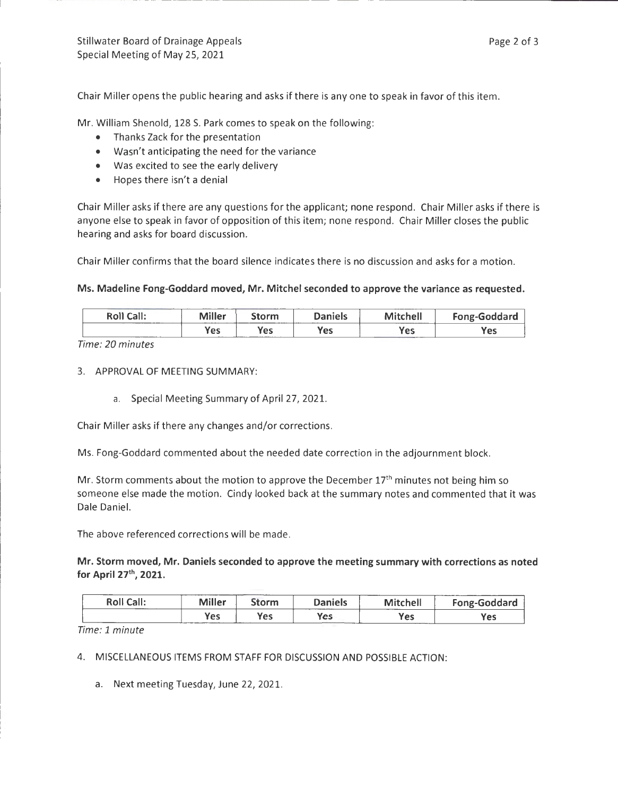Chair Miller opens the public hearing and asks if there is any one to speak in favor of this item.

Mr. William Shenold, 128 S. Park comes to speak on the following:

- Thanks Zack for the presentation
- Wasn't anticipating the need for the variance
- Was excited to see the early delivery
- Hopes there isn't a denial

Chair Miller asks if there are any questions for the applicant; none respond . Chair Miller asks if there is anyone else to speak in favor of opposition of this item; none respond. Chair Miller closes the public hearing and asks for board discussion.

Chair Miller confirms that the board silence indicates there is no discussion and asks for a motion.

#### Ms. Madeline Fong-Goddard moved, Mr. Mitchel seconded to approve the variance as requested.

| <b>Roll Call:</b> | <b>Miller</b>      | Storm             | <b>Daniels</b> | _________<br>Mitchell<br>The property company and contact the property of the contact of | <b>Fong-Goddard</b> |
|-------------------|--------------------|-------------------|----------------|------------------------------------------------------------------------------------------|---------------------|
| ______            | <b>Yes</b><br>---- | Yes<br>---------- | Yes            | Yes                                                                                      | Yes                 |

Time: 20 minutes

3. APPROVAL OF MEETING SUMMARY:

a. Special Meeting Summary of April 27, 2021.

Chair Miller asks if there any changes and/or corrections.

Ms. Fong-Goddard commented about the needed date correction in the adjournment block.

Mr. Storm comments about the motion to approve the December  $17<sup>th</sup>$  minutes not being him so someone else made the motion. Cindy looked back at the summary notes and commented that it was Dale Daniel.

The above referenced corrections will be made.

Mr. Storm moved, Mr. Daniels seconded to approve the meeting summary with corrections as noted for April 27th, 2021.

| <b>Roll Call:</b> | <b>Miller</b> | Storm | <b>Daniels</b><br>-------- | <b>Mitchell</b> | <b>Fong-Goddard</b> |
|-------------------|---------------|-------|----------------------------|-----------------|---------------------|
|                   | Yes           | Yes   | <b>Yes</b>                 | Yes             | Yes                 |

Time: 1 minute

4. MISCELLANEOUS ITEMS FROM STAFF FOR DISCUSSION AND POSSIBLE ACTION:

a. Next meeting Tuesday, June 22, 2021.